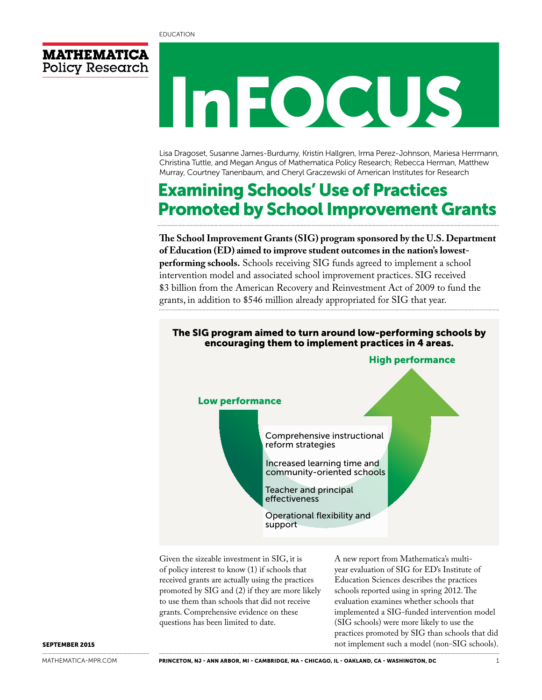

# MEOCUS

Lisa Dragoset, Susanne James-Burdumy, Kristin Hallgren, Irma Perez-Johnson, Mariesa Herrmann, Christina Tuttle, and Megan Angus of Mathematica Policy Research; Rebecca Herman, Matthew Murray, Courtney Tanenbaum, and Cheryl Graczewski of American Institutes for Research

## Examining Schools' Use of Practices Promoted by School Improvement Grants

**The School Improvement Grants (SIG) program sponsored by the U.S. Department of Education (ED) aimed to improve student outcomes in the nation's lowestperforming schools.** Schools receiving SIG funds agreed to implement a school intervention model and associated school improvement practices. SIG received \$3 billion from the American Recovery and Reinvestment Act of 2009 to fund the grants, in addition to \$546 million already appropriated for SIG that year.

## The SIG program aimed to turn around low-performing schools by encouraging them to implement practices in 4 areas. Low performance High performance

Comprehensive instructional reform strategies

Increased learning time and community-oriented schools

Teacher and principal effectiveness

Operational flexibility and support

Given the sizeable investment in SIG, it is of policy interest to know (1) if schools that received grants are actually using the practices promoted by SIG and (2) if they are more likely to use them than schools that did not receive grants. Comprehensive evidence on these questions has been limited to date.

A new report from Mathematica's multiyear evaluation of SIG for ED's Institute of Education Sciences describes the practices schools reported using in spring 2012. The evaluation examines whether schools that implemented a SIG-funded intervention model (SIG schools) were more likely to use the practices promoted by SIG than schools that did not implement such a model (non-SIG schools).

#### SEPTEMBER 2015

[MATHEMATICA-MPR.COM](http://mathematica-mpr.com/)